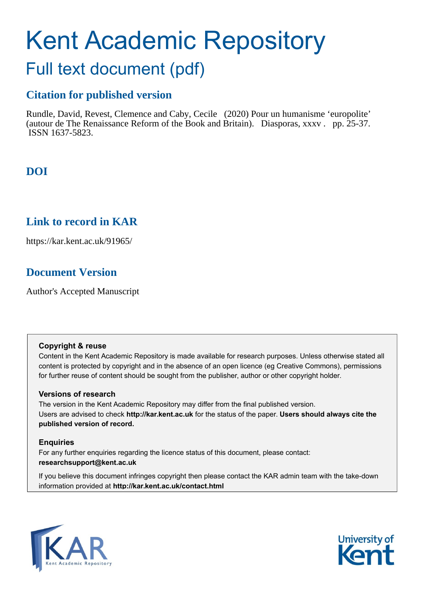# Kent Academic Repository

## Full text document (pdf)

## **Citation for published version**

Rundle, David, Revest, Clemence and Caby, Cecile (2020) Pour un humanisme 'europolite' (autour de The Renaissance Reform of the Book and Britain). Diasporas, xxxv . pp. 25-37. ISSN 1637-5823.

## **DOI**

## **Link to record in KAR**

https://kar.kent.ac.uk/91965/

## **Document Version**

Author's Accepted Manuscript

#### **Copyright & reuse**

Content in the Kent Academic Repository is made available for research purposes. Unless otherwise stated all content is protected by copyright and in the absence of an open licence (eg Creative Commons), permissions for further reuse of content should be sought from the publisher, author or other copyright holder.

#### **Versions of research**

The version in the Kent Academic Repository may differ from the final published version. Users are advised to check **http://kar.kent.ac.uk** for the status of the paper. **Users should always cite the published version of record.**

#### **Enquiries**

For any further enquiries regarding the licence status of this document, please contact: **researchsupport@kent.ac.uk**

If you believe this document infringes copyright then please contact the KAR admin team with the take-down information provided at **http://kar.kent.ac.uk/contact.html**



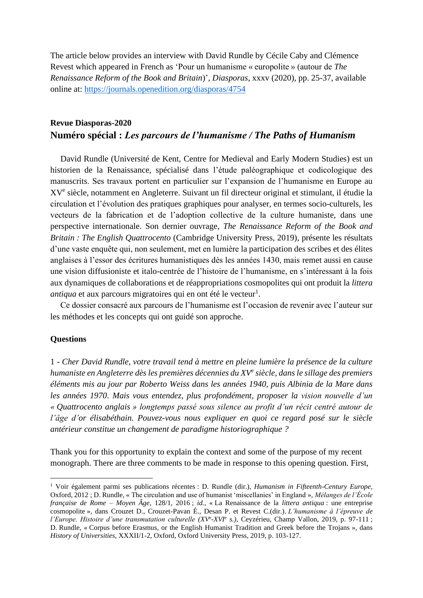The article below provides an interview with David Rundle by Cécile Caby and Clémence Revest which appeared in French as 'Pour un humanisme « europolite » (autour de *The Renaissance Reform of the Book and Britain*)', *Diasporas*, xxxv (2020), pp. 25-37, available online at:<https://journals.openedition.org/diasporas/4754>

#### **Revue Diasporas-2020 Numéro spécial :** *Les parcours de l'humanisme / The Paths of Humanism*

David Rundle (Université de Kent, Centre for Medieval and Early Modern Studies) est un historien de la Renaissance, spécialisé dans l'étude paléographique et codicologique des manuscrits. Ses travaux portent en particulier sur l'expansion de l'humanisme en Europe au XV<sup>e</sup> siècle, notamment en Angleterre. Suivant un fil directeur original et stimulant, il étudie la circulation et l'évolution des pratiques graphiques pour analyser, en termes socio-culturels, les vecteurs de la fabrication et de l'adoption collective de la culture humaniste, dans une perspective internationale. Son dernier ouvrage, *The Renaissance Reform of the Book and Britain : The English Quattrocento* (Cambridge University Press, 2019), présente les résultats d'une vaste enquête qui, non seulement, met en lumière la participation des scribes et des élites anglaises à l'essor des écritures humanistiques dès les années 1430, mais remet aussi en cause une vision diffusioniste et italo-centrée de l'histoire de l'humanisme, en s'intéressant à la fois aux dynamiques de collaborations et de réappropriations cosmopolites qui ont produit la *littera antiqua* et aux parcours migratoires qui en ont été le vecteur<sup>1</sup>.

Ce dossier consacré aux parcours de l'humanisme est l'occasion de revenir avec l'auteur sur les méthodes et les concepts qui ont guidé son approche.

#### **Questions**

1 - *Cher David Rundle, votre travail tend à mettre en pleine lumière la présence de la culture humaniste en Angleterre dès les premières décennies du XV<sup>e</sup> siècle, dans le sillage des premiers éléments mis au jour par Roberto Weiss dans les années 1940, puis Albinia de la Mare dans les années 1970*. *Mais vous entendez, plus profondément, proposer la vision nouvelle d'un « Quattrocento anglais » longtemps passé sous silence au profit d'un récit centré autour de l'âge d'or élisabéthain. Pouvez-vous nous expliquer en quoi ce regard posé sur le siècle antérieur constitue un changement de paradigme historiographique ?* 

Thank you for this opportunity to explain the context and some of the purpose of my recent monograph. There are three comments to be made in response to this opening question. First,

<sup>1</sup> Voir également parmi ses publications récentes : D. Rundle (dir.), *Humanism in Fifteenth-Century Europe*, Oxford, 2012 ; D. Rundle, « The circulation and use of humanist 'miscellanies' in England », *Mélanges de l'École française de Rome – Moyen Âge*, 128/1, 2016 ; *id.*, « La Renaissance de la *littera antiqua* : une entreprise cosmopolite », dans Crouzet D., Crouzet-Pavan É., Desan P. et Revest C.(dir.). *L'humanisme à l'épreuve de l'Europe. Histoire d'une transmutation culturelle (XV<sup><i>e*</sup>-XVI<sup>*e*</sup> s.), Ceyzérieu, Champ Vallon, 2019, p. 97-111 ; D. Rundle, « Corpus before Erasmus, or the English Humanist Tradition and Greek before the Trojans », dans *History of Universities*, XXXII/1-2, Oxford, Oxford University Press, 2019, p. 103-127.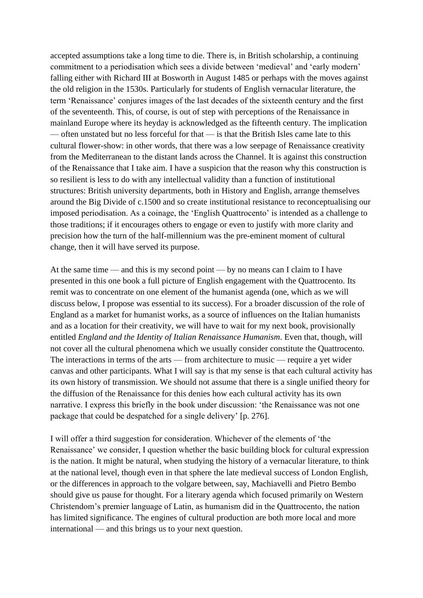accepted assumptions take a long time to die. There is, in British scholarship, a continuing commitment to a periodisation which sees a divide between 'medieval' and 'early modern' falling either with Richard III at Bosworth in August 1485 or perhaps with the moves against the old religion in the 1530s. Particularly for students of English vernacular literature, the term 'Renaissance' conjures images of the last decades of the sixteenth century and the first of the seventeenth. This, of course, is out of step with perceptions of the Renaissance in mainland Europe where its heyday is acknowledged as the fifteenth century. The implication — often unstated but no less forceful for that — is that the British Isles came late to this cultural flower-show: in other words, that there was a low seepage of Renaissance creativity from the Mediterranean to the distant lands across the Channel. It is against this construction of the Renaissance that I take aim. I have a suspicion that the reason why this construction is so resilient is less to do with any intellectual validity than a function of institutional structures: British university departments, both in History and English, arrange themselves around the Big Divide of c.1500 and so create institutional resistance to reconceptualising our imposed periodisation. As a coinage, the 'English Quattrocento' is intended as a challenge to those traditions; if it encourages others to engage or even to justify with more clarity and precision how the turn of the half-millennium was the pre-eminent moment of cultural change, then it will have served its purpose.

At the same time — and this is my second point — by no means can I claim to I have presented in this one book a full picture of English engagement with the Quattrocento. Its remit was to concentrate on one element of the humanist agenda (one, which as we will discuss below, I propose was essential to its success). For a broader discussion of the role of England as a market for humanist works, as a source of influences on the Italian humanists and as a location for their creativity, we will have to wait for my next book, provisionally entitled *England and the Identity of Italian Renaissance Humanism*. Even that, though, will not cover all the cultural phenomena which we usually consider constitute the Quattrocento. The interactions in terms of the arts — from architecture to music — require a yet wider canvas and other participants. What I will say is that my sense is that each cultural activity has its own history of transmission. We should not assume that there is a single unified theory for the diffusion of the Renaissance for this denies how each cultural activity has its own narrative. I express this briefly in the book under discussion: 'the Renaissance was not one package that could be despatched for a single delivery' [p. 276].

I will offer a third suggestion for consideration. Whichever of the elements of 'the Renaissance' we consider, I question whether the basic building block for cultural expression is the nation. It might be natural, when studying the history of a vernacular literature, to think at the national level, though even in that sphere the late medieval success of London English, or the differences in approach to the volgare between, say, Machiavelli and Pietro Bembo should give us pause for thought. For a literary agenda which focused primarily on Western Christendom's premier language of Latin, as humanism did in the Quattrocento, the nation has limited significance. The engines of cultural production are both more local and more international — and this brings us to your next question.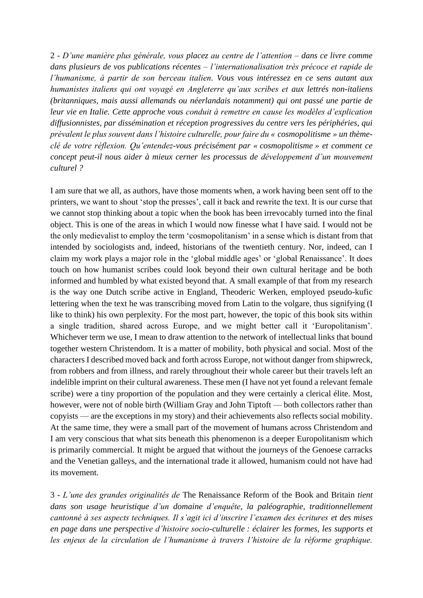2 - *D'une manière plus générale, vous placez au centre de l'attention – dans ce livre comme dans plusieurs de vos publications récentes – l'internationalisation très précoce et rapide de l'humanisme, à partir de son berceau italien. Vous vous intéressez en ce sens autant aux humanistes italiens qui ont voyagé en Angleterre qu'aux scribes et aux lettrés non-italiens (britanniques, mais aussi allemands ou néerlandais notamment) qui ont passé une partie de leur vie en Italie. Cette approche vous conduit à remettre en cause les modèles d'explication diffusionnistes, par dissémination et réception progressives du centre vers les périphéries, qui prévalent le plus souvent dans l'histoire culturelle, pour faire du « cosmopolitisme » un thèmeclé de votre réflexion. Qu'entendez-vous précisément par « cosmopolitisme » et comment ce concept peut-il nous aider à mieux cerner les processus de développement d'un mouvement culturel ?* 

I am sure that we all, as authors, have those moments when, a work having been sent off to the printers, we want to shout 'stop the presses', call it back and rewrite the text. It is our curse that we cannot stop thinking about a topic when the book has been irrevocably turned into the final object. This is one of the areas in which I would now finesse what I have said. I would not be the only medievalist to employ the term 'cosmopolitanism' in a sense which is distant from that intended by sociologists and, indeed, historians of the twentieth century. Nor, indeed, can I claim my work plays a major role in the 'global middle ages' or 'global Renaissance'. It does touch on how humanist scribes could look beyond their own cultural heritage and be both informed and humbled by what existed beyond that. A small example of that from my research is the way one Dutch scribe active in England, Theoderic Werken, employed pseudo-kufic lettering when the text he was transcribing moved from Latin to the volgare, thus signifying (I like to think) his own perplexity. For the most part, however, the topic of this book sits within a single tradition, shared across Europe, and we might better call it 'Europolitanism'. Whichever term we use, I mean to draw attention to the network of intellectual links that bound together western Christendom. It is a matter of mobility, both physical and social. Most of the characters I described moved back and forth across Europe, not without danger from shipwreck, from robbers and from illness, and rarely throughout their whole career but their travels left an indelible imprint on their cultural awareness. These men (I have not yet found a relevant female scribe) were a tiny proportion of the population and they were certainly a clerical élite. Most, however, were not of noble birth (William Gray and John Tiptoft — both collectors rather than copyists — are the exceptions in my story) and their achievements also reflects social mobility. At the same time, they were a small part of the movement of humans across Christendom and I am very conscious that what sits beneath this phenomenon is a deeper Europolitanism which is primarily commercial. It might be argued that without the journeys of the Genoese carracks and the Venetian galleys, and the international trade it allowed, humanism could not have had its movement.

3 *- L'une des grandes originalités de* The Renaissance Reform of the Book and Britain *tient dans son usage heuristique d'un domaine d'enquête, la paléographie, traditionnellement cantonné à ses aspects techniques. Il s'agit ici d'inscrire l'examen des écritures et des mises en page dans une perspective d'histoire socio-culturelle : éclairer les formes, les supports et les enjeux de la circulation de l'humanisme à travers l'histoire de la réforme graphique.*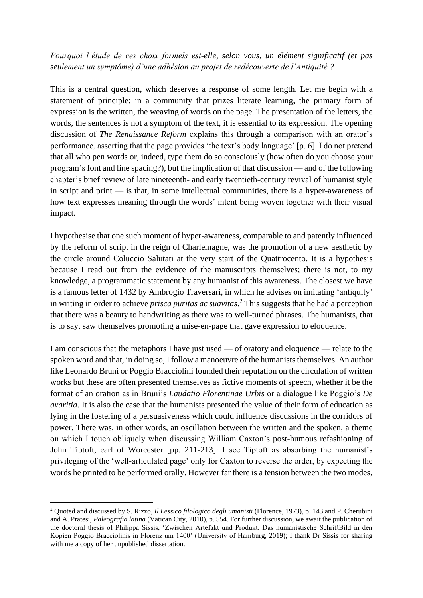#### *Pourquoi l'étude de ces choix formels est-elle, selon vous, un élément significatif (et pas seulement un symptôme) d'une adhésion au projet de redécouverte de l'Antiquité ?*

This is a central question, which deserves a response of some length. Let me begin with a statement of principle: in a community that prizes literate learning, the primary form of expression is the written, the weaving of words on the page. The presentation of the letters, the words, the sentences is not a symptom of the text, it is essential to its expression. The opening discussion of *The Renaissance Reform* explains this through a comparison with an orator's performance, asserting that the page provides 'the text's body language' [p. 6]. I do not pretend that all who pen words or, indeed, type them do so consciously (how often do you choose your program's font and line spacing?), but the implication of that discussion — and of the following chapter's brief review of late nineteenth- and early twentieth-century revival of humanist style in script and print — is that, in some intellectual communities, there is a hyper-awareness of how text expresses meaning through the words' intent being woven together with their visual impact.

I hypothesise that one such moment of hyper-awareness, comparable to and patently influenced by the reform of script in the reign of Charlemagne, was the promotion of a new aesthetic by the circle around Coluccio Salutati at the very start of the Quattrocento. It is a hypothesis because I read out from the evidence of the manuscripts themselves; there is not, to my knowledge, a programmatic statement by any humanist of this awareness. The closest we have is a famous letter of 1432 by Ambrogio Traversari, in which he advises on imitating 'antiquity' in writing in order to achieve *prisca puritas ac suavitas*. <sup>2</sup> This suggests that he had a perception that there was a beauty to handwriting as there was to well-turned phrases. The humanists, that is to say, saw themselves promoting a mise-en-page that gave expression to eloquence.

I am conscious that the metaphors I have just used — of oratory and eloquence — relate to the spoken word and that, in doing so, I follow a manoeuvre of the humanists themselves. An author like Leonardo Bruni or Poggio Bracciolini founded their reputation on the circulation of written works but these are often presented themselves as fictive moments of speech, whether it be the format of an oration as in Bruni's *Laudatio Florentinae Urbis* or a dialogue like Poggio's *De avaritia*. It is also the case that the humanists presented the value of their form of education as lying in the fostering of a persuasiveness which could influence discussions in the corridors of power. There was, in other words, an oscillation between the written and the spoken, a theme on which I touch obliquely when discussing William Caxton's post-humous refashioning of John Tiptoft, earl of Worcester [pp. 211-213]: I see Tiptoft as absorbing the humanist's privileging of the 'well-articulated page' only for Caxton to reverse the order, by expecting the words he printed to be performed orally. However far there is a tension between the two modes,

<sup>2</sup> Quoted and discussed by S. Rizzo, *Il Lessico filologico degli umanisti* (Florence, 1973), p. 143 and P. Cherubini and A. Pratesi, *Paleografia latina* (Vatican City, 2010), p. 554. For further discussion, we await the publication of the doctoral thesis of Philippa Sissis, 'Zwischen Artefakt und Produkt. Das humanistische SchriftBild in den Kopien Poggio Bracciolinis in Florenz um 1400' (University of Hamburg, 2019); I thank Dr Sissis for sharing with me a copy of her unpublished dissertation.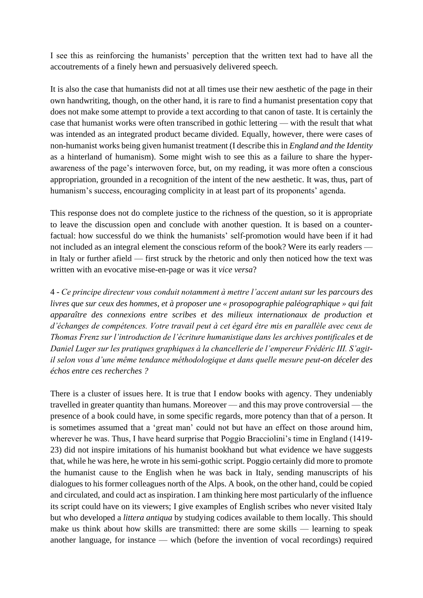I see this as reinforcing the humanists' perception that the written text had to have all the accoutrements of a finely hewn and persuasively delivered speech.

It is also the case that humanists did not at all times use their new aesthetic of the page in their own handwriting, though, on the other hand, it is rare to find a humanist presentation copy that does not make some attempt to provide a text according to that canon of taste. It is certainly the case that humanist works were often transcribed in gothic lettering — with the result that what was intended as an integrated product became divided. Equally, however, there were cases of non-humanist works being given humanist treatment (I describe this in *England and the Identity*  as a hinterland of humanism). Some might wish to see this as a failure to share the hyperawareness of the page's interwoven force, but, on my reading, it was more often a conscious appropriation, grounded in a recognition of the intent of the new aesthetic. It was, thus, part of humanism's success, encouraging complicity in at least part of its proponents' agenda.

This response does not do complete justice to the richness of the question, so it is appropriate to leave the discussion open and conclude with another question. It is based on a counterfactual: how successful do we think the humanists' self-promotion would have been if it had not included as an integral element the conscious reform of the book? Were its early readers in Italy or further afield — first struck by the rhetoric and only then noticed how the text was written with an evocative mise-en-page or was it *vice versa*?

4 *- Ce principe directeur vous conduit notamment à mettre l'accent autant sur les parcours des livres que sur ceux des hommes, et à proposer une « prosopographie paléographique » qui fait apparaître des connexions entre scribes et des milieux internationaux de production et d'échanges de compétences. Votre travail peut à cet égard être mis en parallèle avec ceux de Thomas Frenz sur l'introduction de l'écriture humanistique dans les archives pontificales et de Daniel Luger sur les pratiques graphiques à la chancellerie de l'empereur Frédéric III. S'agitil selon vous d'une même tendance méthodologique et dans quelle mesure peut-on déceler des échos entre ces recherches ?*

There is a cluster of issues here. It is true that I endow books with agency. They undeniably travelled in greater quantity than humans. Moreover — and this may prove controversial — the presence of a book could have, in some specific regards, more potency than that of a person. It is sometimes assumed that a 'great man' could not but have an effect on those around him, wherever he was. Thus, I have heard surprise that Poggio Bracciolini's time in England (1419- 23) did not inspire imitations of his humanist bookhand but what evidence we have suggests that, while he was here, he wrote in his semi-gothic script. Poggio certainly did more to promote the humanist cause to the English when he was back in Italy, sending manuscripts of his dialogues to his former colleagues north of the Alps. A book, on the other hand, could be copied and circulated, and could act as inspiration. I am thinking here most particularly of the influence its script could have on its viewers; I give examples of English scribes who never visited Italy but who developed a *littera antiqua* by studying codices available to them locally. This should make us think about how skills are transmitted: there are some skills — learning to speak another language, for instance — which (before the invention of vocal recordings) required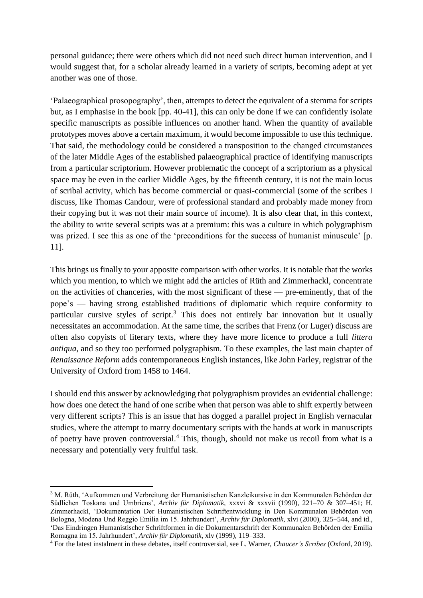personal guidance; there were others which did not need such direct human intervention, and I would suggest that, for a scholar already learned in a variety of scripts, becoming adept at yet another was one of those.

'Palaeographical prosopography', then, attempts to detect the equivalent of a stemma for scripts but, as I emphasise in the book [pp. 40-41], this can only be done if we can confidently isolate specific manuscripts as possible influences on another hand. When the quantity of available prototypes moves above a certain maximum, it would become impossible to use this technique. That said, the methodology could be considered a transposition to the changed circumstances of the later Middle Ages of the established palaeographical practice of identifying manuscripts from a particular scriptorium. However problematic the concept of a scriptorium as a physical space may be even in the earlier Middle Ages, by the fifteenth century, it is not the main locus of scribal activity, which has become commercial or quasi-commercial (some of the scribes I discuss, like Thomas Candour, were of professional standard and probably made money from their copying but it was not their main source of income). It is also clear that, in this context, the ability to write several scripts was at a premium: this was a culture in which polygraphism was prized. I see this as one of the 'preconditions for the success of humanist minuscule' [p. 11].

This brings us finally to your apposite comparison with other works. It is notable that the works which you mention, to which we might add the articles of Rüth and Zimmerhackl, concentrate on the activities of chanceries, with the most significant of these — pre-eminently, that of the pope's — having strong established traditions of diplomatic which require conformity to particular cursive styles of script.<sup>3</sup> This does not entirely bar innovation but it usually necessitates an accommodation. At the same time, the scribes that Frenz (or Luger) discuss are often also copyists of literary texts, where they have more licence to produce a full *littera antiqua*, and so they too performed polygraphism. To these examples, the last main chapter of *Renaissance Reform* adds contemporaneous English instances, like John Farley, registrar of the University of Oxford from 1458 to 1464.

I should end this answer by acknowledging that polygraphism provides an evidential challenge: how does one detect the hand of one scribe when that person was able to shift expertly between very different scripts? This is an issue that has dogged a parallel project in English vernacular studies, where the attempt to marry documentary scripts with the hands at work in manuscripts of poetry have proven controversial.<sup>4</sup> This, though, should not make us recoil from what is a necessary and potentially very fruitful task.

<sup>3</sup> M. Rüth, 'Aufkommen und Verbreitung der Humanistischen Kanzleikursive in den Kommunalen Behörden der Südlichen Toskana und Umbriens', *Archiv für Diplomatik*, xxxvi & xxxvii (1990), 221–70 & 307–451; H. Zimmerhackl, 'Dokumentation Der Humanistischen Schriftentwicklung in Den Kommunalen Behörden von Bologna, Modena Und Reggio Emilia im 15. Jahrhundert', *Archiv für Diplomatik*, xlvi (2000), 325–544, and id., 'Das Eindringen Humanistischer Schriftformen in die Dokumentarschrift der Kommunalen Behörden der Emilia Romagna im 15. Jahrhundert', *Archiv für Diplomatik*, xlv (1999), 119–333.

<sup>4</sup> For the latest instalment in these debates, itself controversial, see L. Warner, *Chaucer's Scribes* (Oxford, 2019).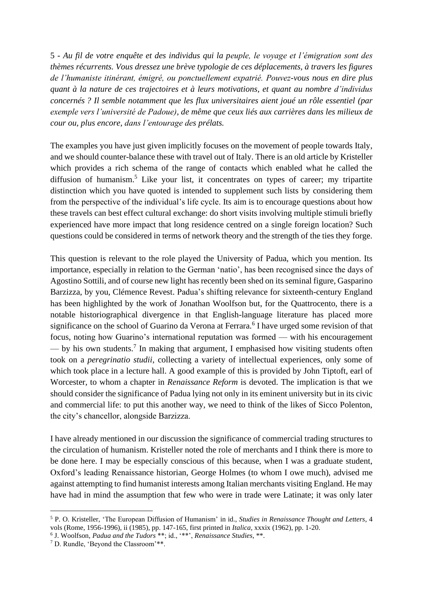5 *- Au fil de votre enquête et des individus qui la peuple, le voyage et l'émigration sont des thèmes récurrents. Vous dressez une brève typologie de ces déplacements, à travers les figures de l'humaniste itinérant, émigré, ou ponctuellement expatrié. Pouvez-vous nous en dire plus quant à la nature de ces trajectoires et à leurs motivations, et quant au nombre d'individus concernés ? Il semble notamment que les flux universitaires aient joué un rôle essentiel (par exemple vers l'université de Padoue), de même que ceux liés aux carrières dans les milieux de cour ou, plus encore, dans l'entourage des prélats.*

The examples you have just given implicitly focuses on the movement of people towards Italy, and we should counter-balance these with travel out of Italy. There is an old article by Kristeller which provides a rich schema of the range of contacts which enabled what he called the diffusion of humanism.<sup>5</sup> Like your list, it concentrates on types of career; my tripartite distinction which you have quoted is intended to supplement such lists by considering them from the perspective of the individual's life cycle. Its aim is to encourage questions about how these travels can best effect cultural exchange: do short visits involving multiple stimuli briefly experienced have more impact that long residence centred on a single foreign location? Such questions could be considered in terms of network theory and the strength of the ties they forge.

This question is relevant to the role played the University of Padua, which you mention. Its importance, especially in relation to the German 'natio', has been recognised since the days of Agostino Sottili, and of course new light has recently been shed on its seminal figure, Gasparino Barzizza, by you, Clémence Revest. Padua's shifting relevance for sixteenth-century England has been highlighted by the work of Jonathan Woolfson but, for the Quattrocento, there is a notable historiographical divergence in that English-language literature has placed more significance on the school of Guarino da Verona at Ferrara.<sup>6</sup> I have urged some revision of that focus, noting how Guarino's international reputation was formed — with his encouragement  $-$  by his own students.<sup>7</sup> In making that argument, I emphasised how visiting students often took on a *peregrinatio studii*, collecting a variety of intellectual experiences, only some of which took place in a lecture hall. A good example of this is provided by John Tiptoft, earl of Worcester, to whom a chapter in *Renaissance Reform* is devoted. The implication is that we should consider the significance of Padua lying not only in its eminent university but in its civic and commercial life: to put this another way, we need to think of the likes of Sicco Polenton, the city's chancellor, alongside Barzizza.

I have already mentioned in our discussion the significance of commercial trading structures to the circulation of humanism. Kristeller noted the role of merchants and I think there is more to be done here. I may be especially conscious of this because, when I was a graduate student, Oxford's leading Renaissance historian, George Holmes (to whom I owe much), advised me against attempting to find humanist interests among Italian merchants visiting England. He may have had in mind the assumption that few who were in trade were Latinate; it was only later

<sup>5</sup> P. O. Kristeller, 'The European Diffusion of Humanism' in id., *Studies in Renaissance Thought and Letters*, 4 vols (Rome, 1956-1996), ii (1985), pp. 147-165, first printed in *Italica,* xxxix (1962), pp. 1-20.

<sup>6</sup> J. Woolfson, *Padua and the Tudors* \*\*; id., '\*\*', *Renaissance Studies*, \*\*.

<sup>7</sup> D. Rundle, 'Beyond the Classroom'\*\*.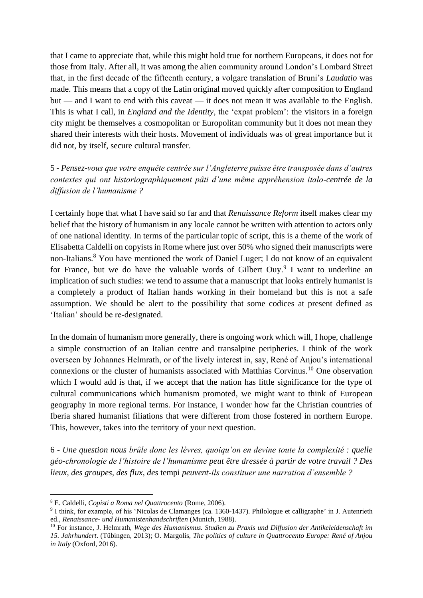that I came to appreciate that, while this might hold true for northern Europeans, it does not for those from Italy. After all, it was among the alien community around London's Lombard Street that, in the first decade of the fifteenth century, a volgare translation of Bruni's *Laudatio* was made. This means that a copy of the Latin original moved quickly after composition to England but — and I want to end with this caveat — it does not mean it was available to the English. This is what I call, in *England and the Identity*, the 'expat problem': the visitors in a foreign city might be themselves a cosmopolitan or Europolitan community but it does not mean they shared their interests with their hosts. Movement of individuals was of great importance but it did not, by itself, secure cultural transfer.

5 *- Pensez-vous que votre enquête centrée sur l'Angleterre puisse être transposée dans d'autres contextes qui ont historiographiquement pâti d'une même appréhension italo-centrée de la diffusion de l'humanisme ?*

I certainly hope that what I have said so far and that *Renaissance Reform* itself makes clear my belief that the history of humanism in any locale cannot be written with attention to actors only of one national identity. In terms of the particular topic of script, this is a theme of the work of Elisabetta Caldelli on copyists in Rome where just over 50% who signed their manuscripts were non-Italians.<sup>8</sup> You have mentioned the work of Daniel Luger; I do not know of an equivalent for France, but we do have the valuable words of Gilbert Ouy.<sup>9</sup> I want to underline an implication of such studies: we tend to assume that a manuscript that looks entirely humanist is a completely a product of Italian hands working in their homeland but this is not a safe assumption. We should be alert to the possibility that some codices at present defined as 'Italian' should be re-designated.

In the domain of humanism more generally, there is ongoing work which will, I hope, challenge a simple construction of an Italian centre and transalpine peripheries. I think of the work overseen by Johannes Helmrath, or of the lively interest in, say, René of Anjou's international connexions or the cluster of humanists associated with Matthias Corvinus.<sup>10</sup> One observation which I would add is that, if we accept that the nation has little significance for the type of cultural communications which humanism promoted, we might want to think of European geography in more regional terms. For instance, I wonder how far the Christian countries of Iberia shared humanist filiations that were different from those fostered in northern Europe. This, however, takes into the territory of your next question.

6 *- Une question nous brûle donc les lèvres, quoiqu'on en devine toute la complexité : quelle géo-chronologie de l'histoire de l'humanisme peut être dressée à partir de votre travail ? Des lieux, des groupes, des flux, des* tempi *peuvent-ils constituer une narration d'ensemble ?*

<sup>8</sup> E. Caldelli, *Copisti a Roma nel Quattrocento* (Rome, 2006).

<sup>&</sup>lt;sup>9</sup> I think, for example, of his 'Nicolas de Clamanges (ca. 1360-1437). Philologue et calligraphe' in J. Autenrieth ed., *Renaissance- und Humanistenhandschriften* (Munich, 1988).

<sup>10</sup> For instance, J. Helmrath, *Wege des Humanismus. Studien zu Praxis und Diffusion der Antikeleidenschaft im 15. Jahrhundert*. (Tübingen, 2013); O. Margolis, *The politics of culture in Quattrocento Europe: René of Anjou in Italy* (Oxford, 2016).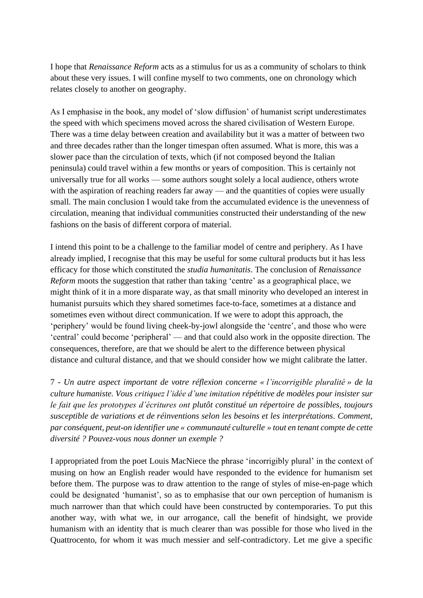I hope that *Renaissance Reform* acts as a stimulus for us as a community of scholars to think about these very issues. I will confine myself to two comments, one on chronology which relates closely to another on geography.

As I emphasise in the book, any model of 'slow diffusion' of humanist script underestimates the speed with which specimens moved across the shared civilisation of Western Europe. There was a time delay between creation and availability but it was a matter of between two and three decades rather than the longer timespan often assumed. What is more, this was a slower pace than the circulation of texts, which (if not composed beyond the Italian peninsula) could travel within a few months or years of composition. This is certainly not universally true for all works — some authors sought solely a local audience, others wrote with the aspiration of reaching readers far away — and the quantities of copies were usually small. The main conclusion I would take from the accumulated evidence is the unevenness of circulation, meaning that individual communities constructed their understanding of the new fashions on the basis of different corpora of material.

I intend this point to be a challenge to the familiar model of centre and periphery. As I have already implied, I recognise that this may be useful for some cultural products but it has less efficacy for those which constituted the *studia humanitatis*. The conclusion of *Renaissance Reform* moots the suggestion that rather than taking 'centre' as a geographical place, we might think of it in a more disparate way, as that small minority who developed an interest in humanist pursuits which they shared sometimes face-to-face, sometimes at a distance and sometimes even without direct communication. If we were to adopt this approach, the 'periphery' would be found living cheek-by-jowl alongside the 'centre', and those who were 'central' could become 'peripheral' — and that could also work in the opposite direction. The consequences, therefore, are that we should be alert to the difference between physical distance and cultural distance, and that we should consider how we might calibrate the latter.

7 *- Un autre aspect important de votre réflexion concerne « l'incorrigible pluralité » de la culture humaniste. Vous critiquez l'idée d'une imitation répétitive de modèles pour insister sur le fait que les prototypes d'écritures ont plutôt constitué un répertoire de possibles, toujours susceptible de variations et de réinventions selon les besoins et les interprétations. Comment, par conséquent, peut-on identifier une « communauté culturelle » tout en tenant compte de cette diversité ? Pouvez-vous nous donner un exemple ?*

I appropriated from the poet Louis MacNiece the phrase 'incorrigibly plural' in the context of musing on how an English reader would have responded to the evidence for humanism set before them. The purpose was to draw attention to the range of styles of mise-en-page which could be designated 'humanist', so as to emphasise that our own perception of humanism is much narrower than that which could have been constructed by contemporaries. To put this another way, with what we, in our arrogance, call the benefit of hindsight, we provide humanism with an identity that is much clearer than was possible for those who lived in the Quattrocento, for whom it was much messier and self-contradictory. Let me give a specific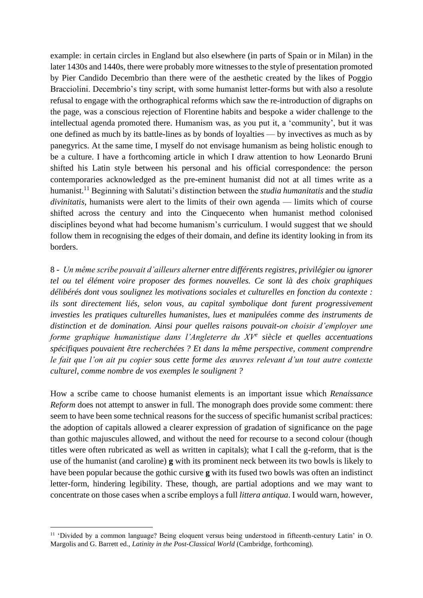example: in certain circles in England but also elsewhere (in parts of Spain or in Milan) in the later 1430s and 1440s, there were probably more witnesses to the style of presentation promoted by Pier Candido Decembrio than there were of the aesthetic created by the likes of Poggio Bracciolini. Decembrio's tiny script, with some humanist letter-forms but with also a resolute refusal to engage with the orthographical reforms which saw the re-introduction of digraphs on the page, was a conscious rejection of Florentine habits and bespoke a wider challenge to the intellectual agenda promoted there. Humanism was, as you put it, a 'community', but it was one defined as much by its battle-lines as by bonds of loyalties — by invectives as much as by panegyrics. At the same time, I myself do not envisage humanism as being holistic enough to be a culture. I have a forthcoming article in which I draw attention to how Leonardo Bruni shifted his Latin style between his personal and his official correspondence: the person contemporaries acknowledged as the pre-eminent humanist did not at all times write as a humanist.<sup>11</sup> Beginning with Salutati's distinction between the *studia humanitatis* and the *studia divinitatis*, humanists were alert to the limits of their own agenda — limits which of course shifted across the century and into the Cinquecento when humanist method colonised disciplines beyond what had become humanism's curriculum. I would suggest that we should follow them in recognising the edges of their domain, and define its identity looking in from its borders.

8 *- Un même scribe pouvait d'ailleurs alterner entre différents registres, privilégier ou ignorer tel ou tel élément voire proposer des formes nouvelles. Ce sont là des choix graphiques délibérés dont vous soulignez les motivations sociales et culturelles en fonction du contexte :*  ils sont directement liés, selon vous, au capital symbolique dont furent progressivement *investies les pratiques culturelles humanistes, lues et manipulées comme des instruments de distinction et de domination. Ainsi pour quelles raisons pouvait-on choisir d'employer une forme graphique humanistique dans l'Angleterre du XV<sup>e</sup> siècle et quelles accentuations spécifiques pouvaient être recherchées ? Et dans la même perspective, comment comprendre le fait que l'on ait pu copier sous cette forme des œuvres relevant d'un tout autre contexte culturel, comme nombre de vos exemples le soulignent ?*

How a scribe came to choose humanist elements is an important issue which *Renaissance Reform* does not attempt to answer in full. The monograph does provide some comment: there seem to have been some technical reasons for the success of specific humanist scribal practices: the adoption of capitals allowed a clearer expression of gradation of significance on the page than gothic majuscules allowed, and without the need for recourse to a second colour (though titles were often rubricated as well as written in capitals); what I call the g-reform, that is the use of the humanist (and caroline) **g** with its prominent neck between its two bowls is likely to have been popular because the gothic cursive **g** with its fused two bowls was often an indistinct letter-form, hindering legibility. These, though, are partial adoptions and we may want to concentrate on those cases when a scribe employs a full *littera antiqua*. I would warn, however,

<sup>&</sup>lt;sup>11</sup> 'Divided by a common language? Being eloquent versus being understood in fifteenth-century Latin' in O. Margolis and G. Barrett ed., *Latinity in the Post-Classical World* (Cambridge, forthcoming).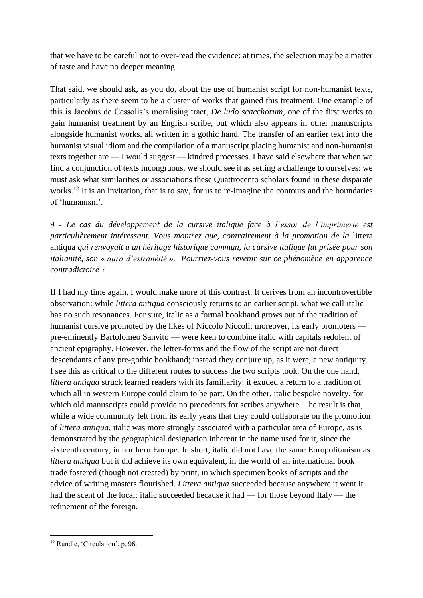that we have to be careful not to over-read the evidence: at times, the selection may be a matter of taste and have no deeper meaning.

That said, we should ask, as you do, about the use of humanist script for non-humanist texts, particularly as there seem to be a cluster of works that gained this treatment. One example of this is Jacobus de Cessolis's moralising tract, *De ludo scacchorum*, one of the first works to gain humanist treatment by an English scribe, but which also appears in other manuscripts alongside humanist works, all written in a gothic hand. The transfer of an earlier text into the humanist visual idiom and the compilation of a manuscript placing humanist and non-humanist texts together are — I would suggest — kindred processes. I have said elsewhere that when we find a conjunction of texts incongruous, we should see it as setting a challenge to ourselves: we must ask what similarities or associations these Quattrocento scholars found in these disparate works.<sup>12</sup> It is an invitation, that is to say, for us to re-imagine the contours and the boundaries of 'humanism'.

9 *- Le cas du développement de la cursive italique face à l'essor de l'imprimerie est particulièrement intéressant. Vous montrez que, contrairement à la promotion de la* littera antiqua *qui renvoyait à un héritage historique commun, la cursive italique fut prisée pour son italianité, son « aura d'estranéité ». Pourriez-vous revenir sur ce phénomène en apparence contradictoire ?*

If I had my time again, I would make more of this contrast. It derives from an incontrovertible observation: while *littera antiqua* consciously returns to an earlier script, what we call italic has no such resonances. For sure, italic as a formal bookhand grows out of the tradition of humanist cursive promoted by the likes of Niccolò Niccoli; moreover, its early promoters pre-eminently Bartolomeo Sanvito — were keen to combine italic with capitals redolent of ancient epigraphy. However, the letter-forms and the flow of the script are not direct descendants of any pre-gothic bookhand; instead they conjure up, as it were, a new antiquity. I see this as critical to the different routes to success the two scripts took. On the one hand, *littera antiqua* struck learned readers with its familiarity: it exuded a return to a tradition of which all in western Europe could claim to be part. On the other, italic bespoke novelty, for which old manuscripts could provide no precedents for scribes anywhere. The result is that, while a wide community felt from its early years that they could collaborate on the promotion of *littera antiqua*, italic was more strongly associated with a particular area of Europe, as is demonstrated by the geographical designation inherent in the name used for it, since the sixteenth century, in northern Europe. In short, italic did not have the same Europolitanism as *littera antiqua* but it did achieve its own equivalent, in the world of an international book trade fostered (though not created) by print, in which specimen books of scripts and the advice of writing masters flourished. *Littera antiqua* succeeded because anywhere it went it had the scent of the local; italic succeeded because it had — for those beyond Italy — the refinement of the foreign.

<sup>12</sup> Rundle, 'Circulation', p. 96.